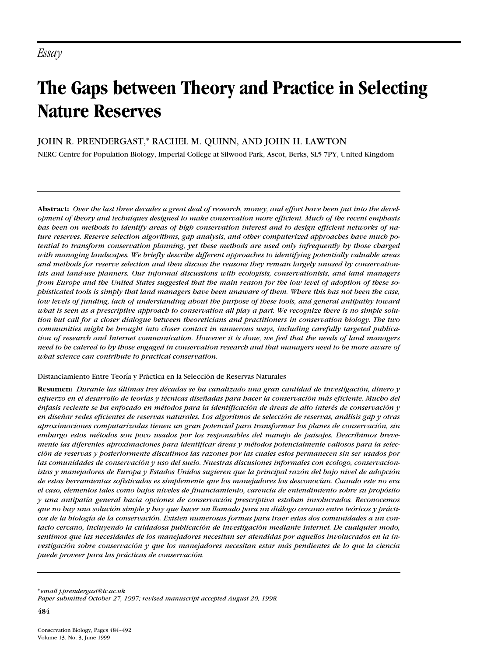# **The Gaps between Theory and Practice in Selecting Nature Reserves**

# JOHN R. PRENDERGAST,\* RACHEL M. QUINN, AND JOHN H. LAWTON

NERC Centre for Population Biology, Imperial College at Silwood Park, Ascot, Berks, SL5 7PY, United Kingdom

**Abstract:** *Over the last three decades a great deal of research, money, and effort have been put into the development of theory and techniques designed to make conservation more efficient. Much of the recent emphasis has been on methods to identify areas of high conservation interest and to design efficient networks of nature reserves. Reserve selection algorithms, gap analysis, and other computerized approaches have much potential to transform conservation planning, yet these methods are used only infrequently by those charged with managing landscapes. We briefly describe different approaches to identifying potentially valuable areas and methods for reserve selection and then discuss the reasons they remain largely unused by conservationists and land-use planners. Our informal discussions with ecologists, conservationists, and land managers from Europe and the United States suggested that the main reason for the low level of adoption of these sophisticated tools is simply that land managers have been unaware of them. Where this has not been the case, low levels of funding, lack of understanding about the purpose of these tools, and general antipathy toward what is seen as a prescriptive approach to conservation all play a part. We recognize there is no simple solution but call for a closer dialogue between theoreticians and practitioners in conservation biology. The two communities might be brought into closer contact in numerous ways, including carefully targeted publication of research and Internet communication. However it is done, we feel that the needs of land managers need to be catered to by those engaged in conservation research and that managers need to be more aware of what science can contribute to practical conservation.*

#### Distanciamiento Entre Teoría y Práctica en la Selección de Reservas Naturales

**Resumen:** *Durante las últimas tres décadas se ha canalizado una gran cantidad de investigación, dinero y esfuerzo en el desarrollo de teorías y técnicas diseñadas para hacer la conservación más eficiente. Mucho del énfasis reciente se ha enfocado en métodos para la identificación de áreas de alto interés de conservación y en diseñar redes eficientes de reservas naturales. Los algoritmos de selección de reservas, análisis gap y otras aproximaciones computarizadas tienen un gran potencial para transformar los planes de conservación, sin embargo estos métodos son poco usados por los responsables del manejo de paisajes. Describimos brevemente las diferentes aproximaciones para identificar áreas y métodos potencialmente valiosos para la selección de reservas y posteriormente discutimos las razones por las cuales estos permanecen sin ser usados por las comunidades de conservación y uso del suelo. Nuestras discusiones informales con ecologo, conservacionistas y manejadores de Europa y Estados Unidos sugieren que la principal razón del bajo nivel de adopción de estas herramientas sofisticadas es simplemente que los manejadores las desconocían. Cuando este no era el caso, elementos tales como bajos niveles de financiamiento, carencia de entendimiento sobre su propósito y una antipatía general hacia opciones de conservación prescriptiva estaban involucrados. Reconocemos que no hay una solución simple y hay que hacer un llamado para un diálogo cercano entre teóricos y prácticos de la biología de la conservación. Existen numerosas formas para traer estas dos comunidades a un contacto cercano, incluyendo la cuidadosa publicación de investigación mediante Internet. De cualquier modo, sentimos que las necesidades de los manejadores necesitan ser atendidas por aquellos involucrados en la investigación sobre conservación y que los manejadores necesitan estar más pendientes de lo que la ciencia puede proveer para las prácticas de conservación.*

\**email j.prendergast@ic.ac.uk*

*Paper submitted October 27, 1997; revised manuscript accepted August 20, 1998.*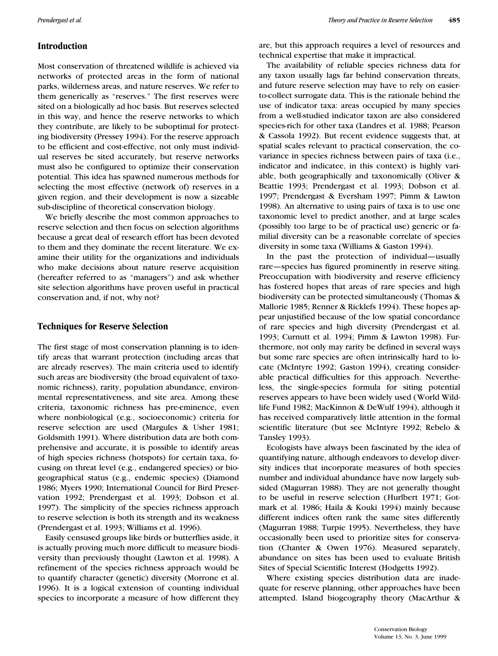## **Introduction**

Most conservation of threatened wildlife is achieved via networks of protected areas in the form of national parks, wilderness areas, and nature reserves. We refer to them generically as "reserves." The first reserves were sited on a biologically ad hoc basis. But reserves selected in this way, and hence the reserve networks to which they contribute, are likely to be suboptimal for protecting biodiversity (Pressey 1994). For the reserve approach to be efficient and cost-effective, not only must individual reserves be sited accurately, but reserve networks must also be configured to optimize their conservation potential. This idea has spawned numerous methods for selecting the most effective (network of) reserves in a given region, and their development is now a sizeable sub-discipline of theoretical conservation biology.

We briefly describe the most common approaches to reserve selection and then focus on selection algorithms because a great deal of research effort has been devoted to them and they dominate the recent literature. We examine their utility for the organizations and individuals who make decisions about nature reserve acquisition (hereafter referred to as "managers") and ask whether site selection algorithms have proven useful in practical conservation and, if not, why not?

#### **Techniques for Reserve Selection**

The first stage of most conservation planning is to identify areas that warrant protection (including areas that are already reserves). The main criteria used to identify such areas are biodiversity (the broad equivalent of taxonomic richness), rarity, population abundance, environmental representativeness, and site area. Among these criteria, taxonomic richness has pre-eminence, even where nonbiological (e.g., socioeconomic) criteria for reserve selection are used (Margules & Usher 1981; Goldsmith 1991). Where distribution data are both comprehensive and accurate, it is possible to identify areas of high species richness (hotspots) for certain taxa, focusing on threat level (e.g., endangered species) or biogeographical status (e.g., endemic species) (Diamond 1986; Myers 1990; International Council for Bird Preservation 1992; Prendergast et al. 1993; Dobson et al. 1997). The simplicity of the species richness approach to reserve selection is both its strength and its weakness (Prendergast et al. 1993; Williams et al. 1996).

Easily censused groups like birds or butterflies aside, it is actually proving much more difficult to measure biodiversity than previously thought (Lawton et al. 1998). A refinement of the species richness approach would be to quantify character (genetic) diversity (Morrone et al. 1996). It is a logical extension of counting individual species to incorporate a measure of how different they are, but this approach requires a level of resources and technical expertise that make it impractical.

The availability of reliable species richness data for any taxon usually lags far behind conservation threats, and future reserve selection may have to rely on easierto-collect surrogate data. This is the rationale behind the use of indicator taxa: areas occupied by many species from a well-studied indicator taxon are also considered species-rich for other taxa (Landres et al. 1988; Pearson & Cassola 1992). But recent evidence suggests that, at spatial scales relevant to practical conservation, the covariance in species richness between pairs of taxa (i.e., indicator and indicatee, in this context) is highly variable, both geographically and taxonomically (Oliver & Beattie 1993; Prendergast et al. 1993; Dobson et al. 1997; Prendergast & Eversham 1997; Pimm & Lawton 1998). An alternative to using pairs of taxa is to use one taxonomic level to predict another, and at large scales (possibly too large to be of practical use) generic or familial diversity can be a reasonable correlate of species diversity in some taxa (Williams & Gaston 1994).

In the past the protection of individual—usually rare—species has figured prominently in reserve siting. Preoccupation with biodiversity and reserve efficiency has fostered hopes that areas of rare species and high biodiversity can be protected simultaneously (Thomas & Mallorie 1985; Renner & Ricklefs 1994). These hopes appear unjustified because of the low spatial concordance of rare species and high diversity (Prendergast et al. 1993; Curnutt et al. 1994; Pimm & Lawton 1998). Furthermore, not only may rarity be defined in several ways but some rare species are often intrinsically hard to locate (McIntyre 1992; Gaston 1994), creating considerable practical difficulties for this approach. Nevertheless, the single-species formula for siting potential reserves appears to have been widely used (World Wildlife Fund 1982; MacKinnon & DeWulf 1994), although it has received comparatively little attention in the formal scientific literature (but see McIntyre 1992; Rebelo & Tansley 1993).

Ecologists have always been fascinated by the idea of quantifying nature, although endeavors to develop diversity indices that incorporate measures of both species number and individual abundance have now largely subsided (Magurran 1988). They are not generally thought to be useful in reserve selection (Hurlbert 1971; Gotmark et al. 1986; Haila & Kouki 1994) mainly because different indices often rank the same sites differently (Magurran 1988; Turpie 1995). Nevertheless, they have occasionally been used to prioritize sites for conservation (Chanter & Owen 1976). Measured separately, abundance on sites has been used to evaluate British Sites of Special Scientific Interest (Hodgetts 1992).

Where existing species distribution data are inadequate for reserve planning, other approaches have been attempted. Island biogeography theory (MacArthur &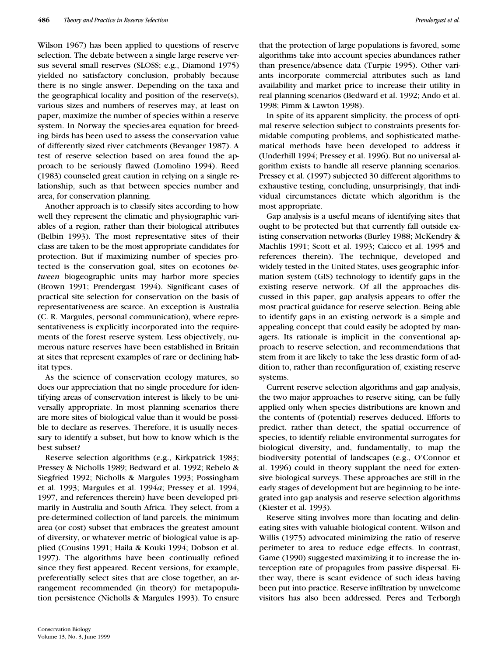Wilson 1967) has been applied to questions of reserve selection. The debate between a single large reserve versus several small reserves (SLOSS; e.g., Diamond 1975) yielded no satisfactory conclusion, probably because there is no single answer. Depending on the taxa and the geographical locality and position of the reserve(s), various sizes and numbers of reserves may, at least on paper, maximize the number of species within a reserve system. In Norway the species-area equation for breeding birds has been used to assess the conservation value of differently sized river catchments (Bevanger 1987). A test of reserve selection based on area found the approach to be seriously flawed (Lomolino 1994). Reed (1983) counseled great caution in relying on a single relationship, such as that between species number and area, for conservation planning.

Another approach is to classify sites according to how well they represent the climatic and physiographic variables of a region, rather than their biological attributes (Belbin 1993). The most representative sites of their class are taken to be the most appropriate candidates for protection. But if maximizing number of species protected is the conservation goal, sites on ecotones *between* biogeographic units may harbor more species (Brown 1991; Prendergast 1994). Significant cases of practical site selection for conservation on the basis of representativeness are scarce. An exception is Australia (C. R. Margules, personal communication), where representativeness is explicitly incorporated into the requirements of the forest reserve system. Less objectively, numerous nature reserves have been established in Britain at sites that represent examples of rare or declining habitat types.

As the science of conservation ecology matures, so does our appreciation that no single procedure for identifying areas of conservation interest is likely to be universally appropriate. In most planning scenarios there are more sites of biological value than it would be possible to declare as reserves. Therefore, it is usually necessary to identify a subset, but how to know which is the best subset?

Reserve selection algorithms (e.g., Kirkpatrick 1983; Pressey & Nicholls 1989; Bedward et al. 1992; Rebelo & Siegfried 1992; Nicholls & Margules 1993; Possingham et al. 1993; Margules et al. 1994*a*; Pressey et al. 1994, 1997, and references therein) have been developed primarily in Australia and South Africa. They select, from a pre-determined collection of land parcels, the minimum area (or cost) subset that embraces the greatest amount of diversity, or whatever metric of biological value is applied (Cousins 1991; Haila & Kouki 1994; Dobson et al. 1997). The algorithms have been continually refined since they first appeared. Recent versions, for example, preferentially select sites that are close together, an arrangement recommended (in theory) for metapopulation persistence (Nicholls & Margules 1993). To ensure

that the protection of large populations is favored, some algorithms take into account species abundances rather than presence/absence data (Turpie 1995). Other variants incorporate commercial attributes such as land availability and market price to increase their utility in real planning scenarios (Bedward et al. 1992; Ando et al. 1998; Pimm & Lawton 1998).

In spite of its apparent simplicity, the process of optimal reserve selection subject to constraints presents formidable computing problems, and sophisticated mathematical methods have been developed to address it (Underhill 1994; Pressey et al. 1996). But no universal algorithm exists to handle all reserve planning scenarios. Pressey et al. (1997) subjected 30 different algorithms to exhaustive testing, concluding, unsurprisingly, that individual circumstances dictate which algorithm is the most appropriate.

Gap analysis is a useful means of identifying sites that ought to be protected but that currently fall outside existing conservation networks (Burley 1988; McKendry & Machlis 1991; Scott et al. 1993; Caicco et al. 1995 and references therein). The technique, developed and widely tested in the United States, uses geographic information system (GIS) technology to identify gaps in the existing reserve network. Of all the approaches discussed in this paper, gap analysis appears to offer the most practical guidance for reserve selection. Being able to identify gaps in an existing network is a simple and appealing concept that could easily be adopted by managers. Its rationale is implicit in the conventional approach to reserve selection, and recommendations that stem from it are likely to take the less drastic form of addition to, rather than reconfiguration of, existing reserve systems.

Current reserve selection algorithms and gap analysis, the two major approaches to reserve siting, can be fully applied only when species distributions are known and the contents of (potential) reserves deduced. Efforts to predict, rather than detect, the spatial occurrence of species, to identify reliable environmental surrogates for biological diversity, and, fundamentally, to map the biodiversity potential of landscapes (e.g., O'Connor et al. 1996) could in theory supplant the need for extensive biological surveys. These approaches are still in the early stages of development but are beginning to be integrated into gap analysis and reserve selection algorithms (Kiester et al. 1993).

Reserve siting involves more than locating and delineating sites with valuable biological content. Wilson and Willis (1975) advocated minimizing the ratio of reserve perimeter to area to reduce edge effects. In contrast, Game (1990) suggested maximizing it to increase the interception rate of propagules from passive dispersal. Either way, there is scant evidence of such ideas having been put into practice. Reserve infiltration by unwelcome visitors has also been addressed. Peres and Terborgh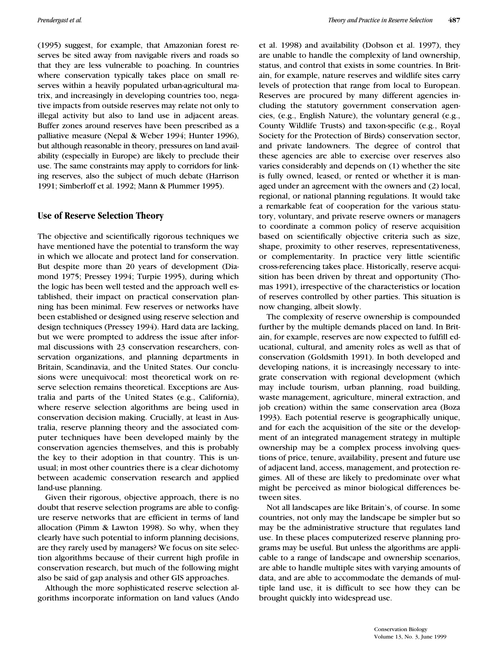(1995) suggest, for example, that Amazonian forest reserves be sited away from navigable rivers and roads so that they are less vulnerable to poaching. In countries where conservation typically takes place on small reserves within a heavily populated urban-agricultural matrix, and increasingly in developing countries too, negative impacts from outside reserves may relate not only to illegal activity but also to land use in adjacent areas. Buffer zones around reserves have been prescribed as a palliative measure (Nepal & Weber 1994; Hunter 1996), but although reasonable in theory, pressures on land availability (especially in Europe) are likely to preclude their use. The same constraints may apply to corridors for linking reserves, also the subject of much debate (Harrison 1991; Simberloff et al. 1992; Mann & Plummer 1995).

## **Use of Reserve Selection Theory**

The objective and scientifically rigorous techniques we have mentioned have the potential to transform the way in which we allocate and protect land for conservation. But despite more than 20 years of development (Diamond 1975; Pressey 1994; Turpie 1995), during which the logic has been well tested and the approach well established, their impact on practical conservation planning has been minimal. Few reserves or networks have been established or designed using reserve selection and design techniques (Pressey 1994). Hard data are lacking, but we were prompted to address the issue after informal discussions with 23 conservation researchers, conservation organizations, and planning departments in Britain, Scandinavia, and the United States. Our conclusions were unequivocal: most theoretical work on reserve selection remains theoretical. Exceptions are Australia and parts of the United States (e.g., California), where reserve selection algorithms are being used in conservation decision making. Crucially, at least in Australia, reserve planning theory and the associated computer techniques have been developed mainly by the conservation agencies themselves, and this is probably the key to their adoption in that country. This is unusual; in most other countries there is a clear dichotomy between academic conservation research and applied land-use planning.

Given their rigorous, objective approach, there is no doubt that reserve selection programs are able to configure reserve networks that are efficient in terms of land allocation (Pimm & Lawton 1998). So why, when they clearly have such potential to inform planning decisions, are they rarely used by managers? We focus on site selection algorithms because of their current high profile in conservation research, but much of the following might also be said of gap analysis and other GIS approaches.

Although the more sophisticated reserve selection algorithms incorporate information on land values (Ando

et al. 1998) and availability (Dobson et al. 1997), they are unable to handle the complexity of land ownership, status, and control that exists in some countries. In Britain, for example, nature reserves and wildlife sites carry levels of protection that range from local to European. Reserves are procured by many different agencies including the statutory government conservation agencies, (e.g., English Nature), the voluntary general (e.g., County Wildlife Trusts) and taxon-specific (e.g., Royal Society for the Protection of Birds) conservation sector, and private landowners. The degree of control that these agencies are able to exercise over reserves also varies considerably and depends on (1) whether the site is fully owned, leased, or rented or whether it is managed under an agreement with the owners and (2) local, regional, or national planning regulations. It would take a remarkable feat of cooperation for the various statutory, voluntary, and private reserve owners or managers to coordinate a common policy of reserve acquisition based on scientifically objective criteria such as size, shape, proximity to other reserves, representativeness, or complementarity. In practice very little scientific cross-referencing takes place. Historically, reserve acquisition has been driven by threat and opportunity (Thomas 1991), irrespective of the characteristics or location of reserves controlled by other parties. This situation is now changing, albeit slowly.

The complexity of reserve ownership is compounded further by the multiple demands placed on land. In Britain, for example, reserves are now expected to fulfill educational, cultural, and amenity roles as well as that of conservation (Goldsmith 1991). In both developed and developing nations, it is increasingly necessary to integrate conservation with regional development (which may include tourism, urban planning, road building, waste management, agriculture, mineral extraction, and job creation) within the same conservation area (Boza 1993). Each potential reserve is geographically unique, and for each the acquisition of the site or the development of an integrated management strategy in multiple ownership may be a complex process involving questions of price, tenure, availability, present and future use of adjacent land, access, management, and protection regimes. All of these are likely to predominate over what might be perceived as minor biological differences between sites.

Not all landscapes are like Britain's, of course. In some countries, not only may the landscape be simpler but so may be the administrative structure that regulates land use. In these places computerized reserve planning programs may be useful. But unless the algorithms are applicable to a range of landscape and ownership scenarios, are able to handle multiple sites with varying amounts of data, and are able to accommodate the demands of multiple land use, it is difficult to see how they can be brought quickly into widespread use.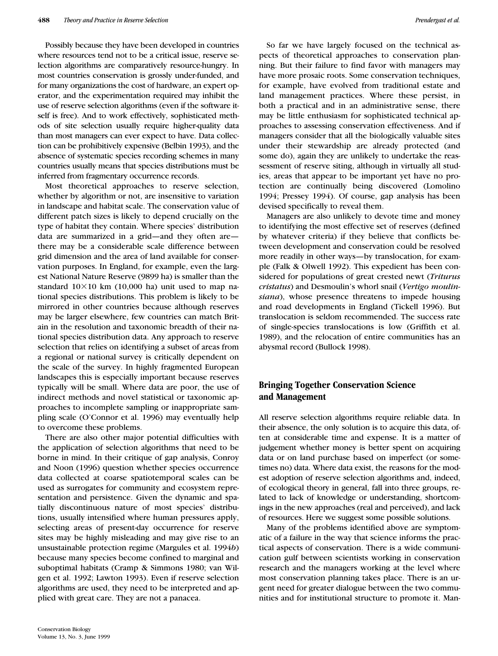Possibly because they have been developed in countries where resources tend not to be a critical issue, reserve selection algorithms are comparatively resource-hungry. In most countries conservation is grossly under-funded, and for many organizations the cost of hardware, an expert operator, and the experimentation required may inhibit the use of reserve selection algorithms (even if the software itself is free). And to work effectively, sophisticated methods of site selection usually require higher-quality data than most managers can ever expect to have. Data collection can be prohibitively expensive (Belbin 1993), and the absence of systematic species recording schemes in many countries usually means that species distributions must be inferred from fragmentary occurrence records.

Most theoretical approaches to reserve selection, whether by algorithm or not, are insensitive to variation in landscape and habitat scale. The conservation value of different patch sizes is likely to depend crucially on the type of habitat they contain. Where species' distribution data are summarized in a grid—and they often are there may be a considerable scale difference between grid dimension and the area of land available for conservation purposes. In England, for example, even the largest National Nature Reserve (9899 ha) is smaller than the standard  $10\times10$  km (10,000 ha) unit used to map national species distributions. This problem is likely to be mirrored in other countries because although reserves may be larger elsewhere, few countries can match Britain in the resolution and taxonomic breadth of their national species distribution data. Any approach to reserve selection that relies on identifying a subset of areas from a regional or national survey is critically dependent on the scale of the survey. In highly fragmented European landscapes this is especially important because reserves typically will be small. Where data are poor, the use of indirect methods and novel statistical or taxonomic approaches to incomplete sampling or inappropriate sampling scale (O'Connor et al. 1996) may eventually help to overcome these problems.

There are also other major potential difficulties with the application of selection algorithms that need to be borne in mind. In their critique of gap analysis, Conroy and Noon (1996) question whether species occurrence data collected at coarse spatiotemporal scales can be used as surrogates for community and ecosystem representation and persistence. Given the dynamic and spatially discontinuous nature of most species' distributions, usually intensified where human pressures apply, selecting areas of present-day occurrence for reserve sites may be highly misleading and may give rise to an unsustainable protection regime (Margules et al. 1994*b*) because many species become confined to marginal and suboptimal habitats (Cramp & Simmons 1980; van Wilgen et al. 1992; Lawton 1993). Even if reserve selection algorithms are used, they need to be interpreted and applied with great care. They are not a panacea.

So far we have largely focused on the technical aspects of theoretical approaches to conservation planning. But their failure to find favor with managers may have more prosaic roots. Some conservation techniques, for example, have evolved from traditional estate and land management practices. Where these persist, in both a practical and in an administrative sense, there may be little enthusiasm for sophisticated technical approaches to assessing conservation effectiveness. And if managers consider that all the biologically valuable sites under their stewardship are already protected (and some do), again they are unlikely to undertake the reassessment of reserve siting, although in virtually all studies, areas that appear to be important yet have no protection are continually being discovered (Lomolino 1994; Pressey 1994). Of course, gap analysis has been devised specifically to reveal them.

Managers are also unlikely to devote time and money to identifying the most effective set of reserves (defined by whatever criteria) if they believe that conflicts between development and conservation could be resolved more readily in other ways—by translocation, for example (Falk & Olwell 1992). This expedient has been considered for populations of great crested newt (*Triturus cristatus*) and Desmoulin's whorl snail (*Vertigo moulinsiana*), whose presence threatens to impede housing and road developments in England (Tickell 1996). But translocation is seldom recommended. The success rate of single-species translocations is low (Griffith et al. 1989), and the relocation of entire communities has an abysmal record (Bullock 1998).

# **Bringing Together Conservation Science and Management**

All reserve selection algorithms require reliable data. In their absence, the only solution is to acquire this data, often at considerable time and expense. It is a matter of judgement whether money is better spent on acquiring data or on land purchase based on imperfect (or sometimes no) data. Where data exist, the reasons for the modest adoption of reserve selection algorithms and, indeed, of ecological theory in general, fall into three groups, related to lack of knowledge or understanding, shortcomings in the new approaches (real and perceived), and lack of resources. Here we suggest some possible solutions.

Many of the problems identified above are symptomatic of a failure in the way that science informs the practical aspects of conservation. There is a wide communication gulf between scientists working in conservation research and the managers working at the level where most conservation planning takes place. There is an urgent need for greater dialogue between the two communities and for institutional structure to promote it. Man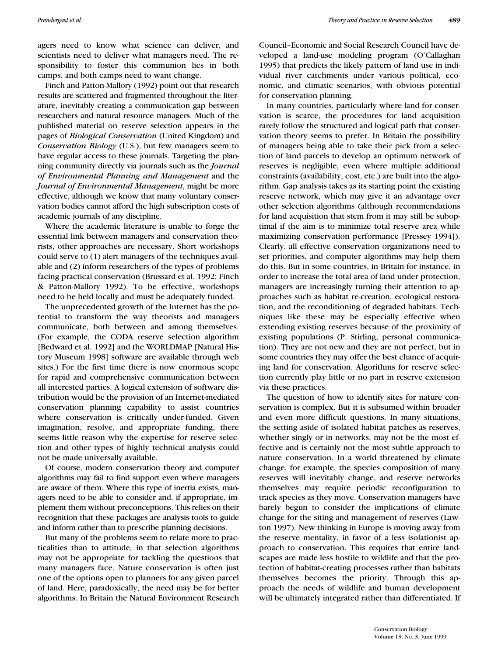agers need to know what science can deliver, and scientists need to deliver what managers need. The responsibility to foster this communion lies in both camps, and both camps need to want change.

Finch and Patton-Mallory (1992) point out that research results are scattered and fragmented throughout the literature, inevitably creating a communication gap between researchers and natural resource managers. Much of the published material on reserve selection appears in the pages of *Biological Conservation* (United Kingdom) and *Conservation Biology* (U.S.), but few managers seem to have regular access to these journals. Targeting the planning community directly via journals such as the *Journal of Environmental Planning and Management* and the *Journal of Environmental Management*, might be more effective, although we know that many voluntary conservation bodies cannot afford the high subscription costs of academic journals of any discipline.

Where the academic literature is unable to forge the essential link between managers and conservation theorists, other approaches are necessary. Short workshops could serve to (1) alert managers of the techniques available and (2) inform researchers of the types of problems facing practical conservation (Brussard et al. 1992; Finch & Patton-Mallory 1992). To be effective, workshops need to be held locally and must be adequately funded.

The unprecedented growth of the Internet has the potential to transform the way theorists and managers communicate, both between and among themselves. (For example, the CODA reserve selection algorithm [Bedward et al. 1992] and the WORLDMAP [Natural History Museum 1998] software are available through web sites.) For the first time there is now enormous scope for rapid and comprehensive communication between all interested parties. A logical extension of software distribution would be the provision of an Internet-mediated conservation planning capability to assist countries where conservation is critically under-funded. Given imagination, resolve, and appropriate funding, there seems little reason why the expertise for reserve selection and other types of highly technical analysis could not be made universally available.

Of course, modern conservation theory and computer algorithms may fail to find support even where managers are aware of them. Where this type of inertia exists, managers need to be able to consider and, if appropriate, implement them without preconceptions. This relies on their recognition that these packages are analysis tools to guide and inform rather than to prescribe planning decisions.

But many of the problems seem to relate more to practicalities than to attitude, in that selection algorithms may not be appropriate for tackling the questions that many managers face. Nature conservation is often just one of the options open to planners for any given parcel of land. Here, paradoxically, the need may be for better algorithms. In Britain the Natural Environment Research Council–Economic and Social Research Council have developed a land-use modeling program (O'Callaghan 1995) that predicts the likely pattern of land use in individual river catchments under various political, economic, and climatic scenarios, with obvious potential for conservation planning.

In many countries, particularly where land for conservation is scarce, the procedures for land acquisition rarely follow the structured and logical path that conservation theory seems to prefer. In Britain the possibility of managers being able to take their pick from a selection of land parcels to develop an optimum network of reserves is negligible, even where multiple additional constraints (availability, cost, etc.) are built into the algorithm. Gap analysis takes as its starting point the existing reserve network, which may give it an advantage over other selection algorithms (although recommendations for land acquisition that stem from it may still be suboptimal if the aim is to minimize total reserve area while maximizing conservation performance [Pressey 1994]). Clearly, all effective conservation organizations need to set priorities, and computer algorithms may help them do this. But in some countries, in Britain for instance, in order to increase the total area of land under protection, managers are increasingly turning their attention to approaches such as habitat re-creation, ecological restoration, and the reconditioning of degraded habitats. Techniques like these may be especially effective when extending existing reserves because of the proximity of existing populations (P. Stirling, personal communication). They are not new and they are not perfect, but in some countries they may offer the best chance of acquiring land for conservation. Algorithms for reserve selection currently play little or no part in reserve extension via these practices.

The question of how to identify sites for nature conservation is complex. But it is subsumed within broader and even more difficult questions. In many situations, the setting aside of isolated habitat patches as reserves, whether singly or in networks, may not be the most effective and is certainly not the most subtle approach to nature conservation. In a world threatened by climate change, for example, the species composition of many reserves will inevitably change, and reserve networks themselves may require periodic reconfiguration to track species as they move. Conservation managers have barely begun to consider the implications of climate change for the siting and management of reserves (Lawton 1997). New thinking in Europe is moving away from the reserve mentality, in favor of a less isolationist approach to conservation. This requires that entire landscapes are made less hostile to wildlife and that the protection of habitat-creating processes rather than habitats themselves becomes the priority. Through this approach the needs of wildlife and human development will be ultimately integrated rather than differentiated. If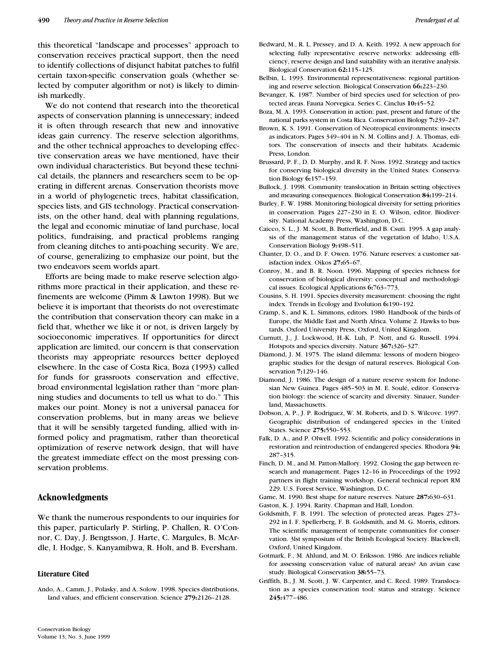this theoretical "landscape and processes" approach to conservation receives practical support, then the need to identify collections of disjunct habitat patches to fulfil certain taxon-specific conservation goals (whether selected by computer algorithm or not) is likely to diminish markedly.

We do not contend that research into the theoretical aspects of conservation planning is unnecessary; indeed it is often through research that new and innovative ideas gain currency. The reserve selection algorithms, and the other technical approaches to developing effective conservation areas we have mentioned, have their own individual characteristics. But beyond these technical details, the planners and researchers seem to be operating in different arenas. Conservation theorists move in a world of phylogenetic trees, habitat classification, species lists, and GIS technology. Practical conservationists, on the other hand, deal with planning regulations, the legal and economic minutiae of land purchase, local politics, fundraising, and practical problems ranging from cleaning ditches to anti-poaching security. We are, of course, generalizing to emphasize our point, but the two endeavors seem worlds apart.

Efforts are being made to make reserve selection algorithms more practical in their application, and these refinements are welcome (Pimm & Lawton 1998). But we believe it is important that theorists do not overestimate the contribution that conservation theory can make in a field that, whether we like it or not, is driven largely by socioeconomic imperatives. If opportunities for direct application are limited, our concern is that conservation theorists may appropriate resources better deployed elsewhere. In the case of Costa Rica, Boza (1993) called for funds for grassroots conservation and effective, broad environmental legislation rather than "more planning studies and documents to tell us what to do." This makes our point. Money is not a universal panacea for conservation problems, but in many areas we believe that it will be sensibly targeted funding, allied with informed policy and pragmatism, rather than theoretical optimization of reserve network design, that will have the greatest immediate effect on the most pressing conservation problems.

### **Acknowledgments**

We thank the numerous respondents to our inquiries for this paper, particularly P. Stirling, P. Challen, R. O'Connor, C. Day, J. Bengtsson, J. Harte, C. Margules, B. McArdle, I. Hodge, S. Kanyamibwa, R. Holt, and B. Eversham.

#### **Literature Cited**

Ando, A., Camm, J., Polasky, and A. Solow. 1998. Species distributions, land values, and efficient conservation. Science **279:**2126–2128.

- Bedward, M., R. L. Pressey, and D. A. Keith. 1992. A new approach for selecting fully representative reserve networks: addressing efficiency, reserve design and land suitability with an iterative analysis. Biological Conservation **62:**115–125.
- Belbin, L. 1993. Environmental representativeness: regional partitioning and reserve selection. Biological Conservation **66:**223–230.
- Bevanger, K. 1987. Number of bird species used for selection of protected areas. Fauna Norvegica. Series C. Cinclus **10:**45–52.
- Boza, M. A. 1993. Conservation in action: past, present and future of the national parks system in Costa Rica. Conservation Biology **7:**239–247.
- Brown, K. S. 1991. Conservation of Neotropical environments: insects as indicators. Pages 349–404 in N. M. Collins and J. A. Thomas, editors. The conservation of insects and their habitats. Academic Press, London.
- Brussard, P. F., D. D. Murphy, and R. F. Noss. 1992. Strategy and tactics for conserving biological diversity in the United States. Conservation Biology **6:**157–159.
- Bullock, J. 1998. Community translocation in Britain setting objectives and measuring consequences. Biological Conservation **84:**199–214.
- Burley, F. W. 1988. Monitoring biological diversity for setting priorities in conservation. Pages 227–230 in E. O. Wilson, editor. Biodiversity. National Academy Press, Washington, D.C.
- Caicco, S. L., J. M. Scott, B. Butterfield, and B. Csuti. 1995. A gap analysis of the management status of the vegetation of Idaho, U.S.A. Conservation Biology **9:**498–511.
- Chanter, D. O., and D. F. Owen. 1976. Nature reserves: a customer satisfaction index. Oikos **27:**65–67.
- Conroy, M., and B. R. Noon. 1996. Mapping of species richness for conservation of biological diversity: conceptual and methodological issues. Ecological Applications **6:**763–773.
- Cousins, S. H. 1991. Species diversity measurement: choosing the right index. Trends in Ecology and Evolution **6:**190–192.
- Cramp, S., and K. L. Simmons, editors. 1980. Handbook of the birds of Europe, the Middle East and North Africa. Volume 2. Hawks to bustards. Oxford University Press, Oxford, United Kingdom.
- Curnutt, J., J. Lockwood, H.-K. Luh, P. Nott, and G. Russell. 1994. Hotspots and species diversity. Nature **367:**326–327.
- Diamond, J. M. 1975. The island dilemma: lessons of modern biogeographic studies for the design of natural reserves. Biological Conservation **7:**129–146.
- Diamond, J. 1986. The design of a nature reserve system for Indonesian New Guinea. Pages 485–503 in M. E. Soulé, editor. Conservation biology: the science of scarcity and diversity. Sinauer, Sunderland, Massachusetts.
- Dobson, A. P., J. P. Rodriguez, W. M. Roberts, and D. S. Wilcove. 1997. Geographic distribution of endangered species in the United States. Science **275:**550–553.
- Falk, D. A., and P. Olwell. 1992. Scientific and policy considerations in restoration and reintroduction of endangered species. Rhodora **94:** 287–315.
- Finch, D. M., and M. Patton-Mallory. 1992. Closing the gap between research and management. Pages 12–16 in Proceedings of the 1992 partners in flight training workshop. General technical report RM 229. U.S. Forest Service, Washington, D.C.
- Game, M. 1990. Best shape for nature reserves. Nature **287:**630–631.
- Gaston, K. J. 1994. Rarity. Chapman and Hall, London.
- Goldsmith, F. B. 1991. The selection of protected areas. Pages 273– 292 in I. F. Spellerberg, F. B. Goldsmith, and M. G. Morris, editors. The scientific management of temperate communities for conservation. 3lst symposium of the British Ecological Society. Blackwell, Oxford, United Kingdom.
- Gotmark, F., M. Ahlund, and M. O. Eriksson. 1986. Are indices reliable for assessing conservation value of natural areas? An avian case study. Biological Conservation **38:**55–73.
- Griffith, B., J. M. Scott, J. W. Carpenter, and C. Reed. 1989. Translocation as a species conservation tool: status and strategy. Science **245:**477–486.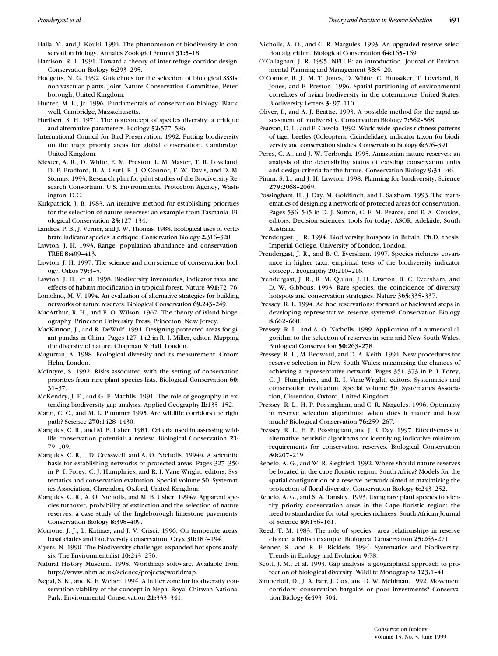- Haila, Y., and J. Kouki. 1994. The phenomenon of biodiversity in conservation biology. Annales Zoologici Fennici **31:**5–18.
- Harrison, R. L. 1991. Toward a theory of inter-refuge corridor design. Conservation Biology **6:**293–295.
- Hodgetts, N. G. 1992. Guidelines for the selection of biological SSSIs: non-vascular plants. Joint Nature Conservation Committee, Peterborough, United Kingdom.
- Hunter, M. L., Jr. 1996. Fundamentals of conservation biology. Blackwell, Cambridge, Massachusetts.
- Hurlbert, S. H. 1971. The nonconcept of species diversity: a critique and alternative parameters. Ecology **52:**577–586.
- International Council for Bird Preservation. 1992. Putting biodiversity on the map: priority areas for global conservation. Cambridge, United Kingdom.
- Kiester, A. R., D. White, E. M. Preston, L. M. Master, T. R. Loveland, D. F. Bradford, B. A. Csuti, R. J. O'Connor, F. W. Davis, and D. M. Stomas. 1993. Research plan for pilot studies of the Biodiversity Research Consortium. U.S. Environmental Protection Agency, Washington, D.C.
- Kirkpatrick, J. B. 1983. An iterative method for establishing priorities for the selection of nature reserves: an example from Tasmania. Biological Conservation **25:**127–134.
- Landres, P. B., J. Verner, and J. W. Thomas. 1988. Ecological uses of vertebrate indicator species: a critique. Conservation Biology **2:**316–328.
- Lawton, J. H. 1993. Range, population abundance and conservation. TREE **8:**409–413.
- Lawton, J. H. 1997. The science and non-science of conservation biology. Oikos **79:**3–5.
- Lawton, J. H., et al. 1998. Biodiversity inventories, indicator taxa and effects of habitat modification in tropical forest. Nature **391:**72–76.
- Lomolino, M. V. 1994. An evaluation of alternative strategies for building networks of nature reserves. Biological Conservation **69:**243–249.
- MacArthur, R. H., and E. O. Wilson. 1967. The theory of island biogeography. Princeton University Press, Princeton, New Jersey.
- MacKinnon, J., and R. DeWulf. 1994. Designing protected areas for giant pandas in China. Pages 127–142 in R. I. Miller, editor. Mapping the diversity of nature. Chapman & Hall, London.
- Magurran, A. 1988. Ecological diversity and its measurement. Croom Helm, London.
- McIntyre, S. 1992. Risks associated with the setting of conservation priorities from rare plant species lists. Biological Conservation **60:** 31–37.
- McKendry, J. E., and G. E. Machlis. 1991. The role of geography in extending biodiversity gap analysis. Applied Geography **ll:**135–152.
- Mann, C. C., and M. L. Plummer 1995. Are wildlife corridors the right path? Science **270:**1428–1430.
- Margules, C. R., and M. B. Usher. 1981. Criteria used in assessing wildlife conservation potential: a review. Biological Conservation **21:** 79–109.
- Margules, C. R, I. D. Cresswell, and A. O. Nicholls. 1994*a.* A scientific basis for establishing networks of protected areas. Pages 327–350 in P. I. Forey, C. J. Humphries, and R. I. Vane-Wright, editors. Systematics and conservation evaluation. Special volume 50. Systematics Association, Clarendon, Oxford, United Kingdom.
- Margules, C. R., A. O. Nicholls, and M. B. Usher. 1994*b.* Apparent species turnover, probability of extinction and the selection of nature reserves: a case study of the Ingleborough limestone pavements. Conservation Biology **8:**398–409.
- Morrone, J. J., L. Katinas, and J. V. Crisci. 1996. On temperate areas, basal clades and biodiversity conservation. Oryx **30:**187–194.
- Myers, N. 1990. The biodiversity challenge: expanded hot-spots analysis. The Environmentalist **10:**243–256.
- Natural History Museum. 1998. Worldmap software. Available from http://www.nhm.ac.uk/science/projects/worldmap.
- Nepal, S. K., and K. E. Weber. 1994. A buffer zone for biodiversity conservation viability of the concept in Nepal Royal Chitwan National Park. Environmental Conservation **21:**333–341.
- Nicholls, A. O., and C. R. Margules. 1993. An upgraded reserve selection algorithm. Biological Conservation **64:**165–169
- O'Callaghan, J. R. 1995. NELUP: an introduction. Journal of Environmental Planning and Management **38:**5–20.
- O'Connor, R. J., M. T. Jones, D. White, C. Hunsaker, T. Loveland, B. Jones, and E. Preston. 1996. Spatial partitioning of environmental correlates of avian biodiversity in the coterminous United States. Biodiversity Letters **3:** 97–110 .
- Oliver, I., and A. J. Beattie. 1993. A possible method for the rapid assessment of biodiversity. Conservation Biology **7:**562–568.
- Pearson, D. L., and F. Cassola. 1992. World-wide species richness patterns of tiger beetles (Coleoptera: Cicindelidae): indicator taxon for biodiversity and conservation studies. Conservation Biology **6:**376–391.
- Peres, C. A., and J. W. Terborgh. 1995. Amazonian nature reserves: an analysis of the defensibility status of existing conservation units and design criteria for the future. Conservation Biology **9:**34– 46.
- Pimm, S. L., and J. H. Lawton. 1998. Planning for biodiversity. Science **279:**2068–2069.
- Possingham, H., J. Day, M. Goldfinch, and F. Salzborn. 1993. The mathematics of designing a network of protected areas for conservation. Pages 536–545 in D. J. Sutton, C. E. M. Pearce, and E. A. Cousins, editors. Decision sciences: tools for today. ASOR, Adelaide, South Australia.
- Prendergast, J. R. 1994. Biodiversity hotspots in Britain. Ph.D. thesis. Imperial College, University of London, London.
- Prendergast, J. R., and B. C. Eversham. 1997. Species richness covariance in higher taxa: empirical tests of the biodiversity indicator concept. Ecography **20:**210–216.
- Prendergast, J. R., R. M. Quinn, J. H. Lawton, B. C. Eversham, and D. W. Gibbons. 1993. Rare species, the coincidence of diversity hotspots and conservation strategies. Nature **365:**335–337.
- Pressey, R. L. 1994. Ad hoc reservations: forward or backward steps in developing representative reserve systems? Conservation Biology **8:**662–668.
- Pressey, R. L., and A. O. Nicholls. 1989. Application of a numerical algorithm to the selection of reserves in semi-arid New South Wales. Biological Conservation **50:**263–278.
- Pressey, R. L., M. Bedward, and D. A. Keith. 1994. New procedures for reserve selection in New South Wales: maximising the chances of achieving a representative network. Pages 351–373 in P. I. Forey, C. J. Humphries, and R. I. Vane-Wright, editors. Systematics and conservation evaluation. Special volume 50. Systematics Association, Clarendon, Oxford, United Kingdom.
- Pressey, R. L., H. P. Possingham, and C. R. Margules. 1996. Optimality in reserve selection algorithms: when does it matter and how much? Biological Conservation **76:**259–267.
- Pressey, R. L., H. P. Possingham, and J. R. Day. 1997. Effectiveness of alternative heuristic algorithms for identifying indicative minimum requirements for conservation reserves. Biological Conservation **80:**207–219.
- Rebelo, A. G., and W. R. Siegfried. 1992. Where should nature reserves be located in the cape floristic region, South Africa? Models for the spatial configuration of a reserve network aimed at maximizing the protection of floral diversity. Conservation Biology **6:**243–252.
- Rebelo, A. G., and S. A. Tansley. 1993. Using rare plant species to identify priority conservation areas in the Cape floristic region: the need to standardize for total species richness. South African Journal of Science **89:**156–161.
- Reed, T. M. 1983. The role of species—area relationships in reserve choice: a British example. Biological Conservation **25:**263–271.
- Renner, S., and R. E. Ricklefs. 1994. Systematics and biodiversity. Trends in Ecology and Evolution **9:**78.
- Scott, J. M., et al. 1993. Gap analysis: a geographical approach to protection of biological diversity. Wildlife Monographs **123:**1–41.
- Simberloff, D., J. A. Farr, J. Cox, and D. W. Mehlman. 1992. Movement corridors: conservation bargains or poor investments? Conservation Biology **6:**493–504.